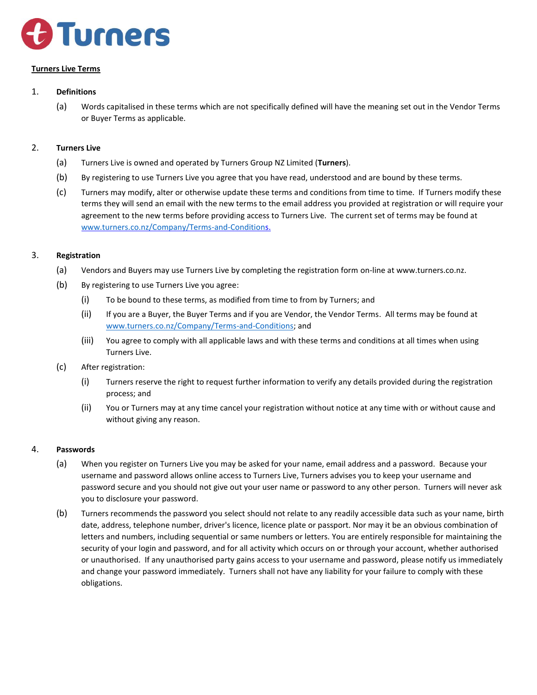

## **Turners Live Terms**

## 1. **Definitions**

(a) Words capitalised in these terms which are not specifically defined will have the meaning set out in the Vendor Terms or Buyer Terms as applicable.

### 2. **Turners Live**

- (a) Turners Live is owned and operated by Turners Group NZ Limited (**Turners**).
- (b) By registering to use Turners Live you agree that you have read, understood and are bound by these terms.
- (c) Turners may modify, alter or otherwise update these terms and conditions from time to time. If Turners modify these terms they will send an email with the new terms to the email address you provided at registration or will require your agreement to the new terms before providing access to Turners Live. The current set of terms may be found at [www.turners.co.nz/Company/Terms-and-Conditions.](http://www.turners.co.nz/Company/Terms-and-Conditions)

## 3. **Registration**

- (a) Vendors and Buyers may use Turners Live by completing the registration form on-line at www.turners.co.nz.
- (b) By registering to use Turners Live you agree:
	- (i) To be bound to these terms, as modified from time to from by Turners; and
	- (ii) If you are a Buyer, the Buyer Terms and if you are Vendor, the Vendor Terms. All terms may be found at [www.turners.co.nz/Company/Terms-and-Conditions;](http://www.turners.co.nz/Company/Terms-and-Conditions) and
	- (iii) You agree to comply with all applicable laws and with these terms and conditions at all times when using Turners Live.
- (c) After registration:
	- (i) Turners reserve the right to request further information to verify any details provided during the registration process; and
	- (ii) You or Turners may at any time cancel your registration without notice at any time with or without cause and without giving any reason.

#### 4. **Passwords**

- (a) When you register on Turners Live you may be asked for your name, email address and a password. Because your username and password allows online access to Turners Live, Turners advises you to keep your username and password secure and you should not give out your user name or password to any other person. Turners will never ask you to disclosure your password.
- (b) Turners recommends the password you select should not relate to any readily accessible data such as your name, birth date, address, telephone number, driver's licence, licence plate or passport. Nor may it be an obvious combination of letters and numbers, including sequential or same numbers or letters. You are entirely responsible for maintaining the security of your login and password, and for all activity which occurs on or through your account, whether authorised or unauthorised. If any unauthorised party gains access to your username and password, please notify us immediately and change your password immediately. Turners shall not have any liability for your failure to comply with these obligations.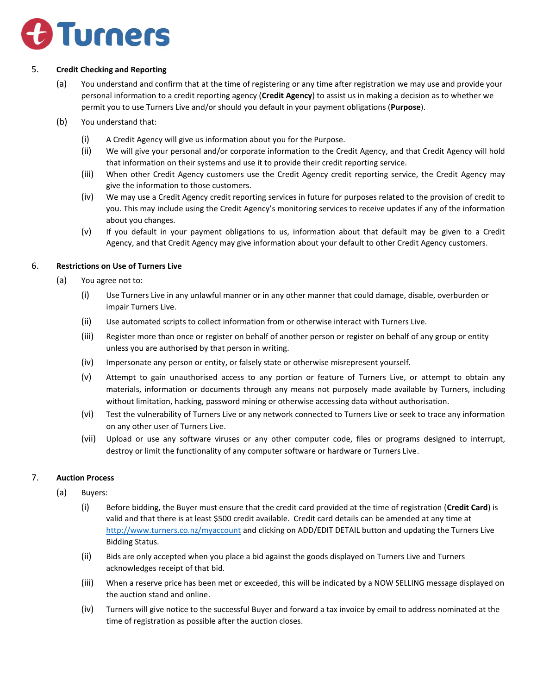

# 5. **Credit Checking and Reporting**

- (a) You understand and confirm that at the time of registering or any time after registration we may use and provide your personal information to a credit reporting agency (**Credit Agency**) to assist us in making a decision as to whether we permit you to use Turners Live and/or should you default in your payment obligations (**Purpose**).
- (b) You understand that:
	- (i) A Credit Agency will give us information about you for the Purpose.
	- (ii) We will give your personal and/or corporate information to the Credit Agency, and that Credit Agency will hold that information on their systems and use it to provide their credit reporting service.
	- (iii) When other Credit Agency customers use the Credit Agency credit reporting service, the Credit Agency may give the information to those customers.
	- (iv) We may use a Credit Agency credit reporting services in future for purposes related to the provision of credit to you. This may include using the Credit Agency's monitoring services to receive updates if any of the information about you changes.
	- (v) If you default in your payment obligations to us, information about that default may be given to a Credit Agency, and that Credit Agency may give information about your default to other Credit Agency customers.

# 6. **Restrictions on Use of Turners Live**

- (a) You agree not to:
	- (i) Use Turners Live in any unlawful manner or in any other manner that could damage, disable, overburden or impair Turners Live.
	- (ii) Use automated scripts to collect information from or otherwise interact with Turners Live.
	- (iii) Register more than once or register on behalf of another person or register on behalf of any group or entity unless you are authorised by that person in writing.
	- (iv) Impersonate any person or entity, or falsely state or otherwise misrepresent yourself.
	- (v) Attempt to gain unauthorised access to any portion or feature of Turners Live, or attempt to obtain any materials, information or documents through any means not purposely made available by Turners, including without limitation, hacking, password mining or otherwise accessing data without authorisation.
	- (vi) Test the vulnerability of Turners Live or any network connected to Turners Live or seek to trace any information on any other user of Turners Live.
	- (vii) Upload or use any software viruses or any other computer code, files or programs designed to interrupt, destroy or limit the functionality of any computer software or hardware or Turners Live.

# 7. **Auction Process**

- (a) Buyers:
	- (i) Before bidding, the Buyer must ensure that the credit card provided at the time of registration (**Credit Card**) is valid and that there is at least \$500 credit available. Credit card details can be amended at any time at <http://www.turners.co.nz/myaccount> and clicking on ADD/EDIT DETAIL button and updating the Turners Live Bidding Status.
	- (ii) Bids are only accepted when you place a bid against the goods displayed on Turners Live and Turners acknowledges receipt of that bid.
	- (iii) When a reserve price has been met or exceeded, this will be indicated by a NOW SELLING message displayed on the auction stand and online.
	- (iv) Turners will give notice to the successful Buyer and forward a tax invoice by email to address nominated at the time of registration as possible after the auction closes.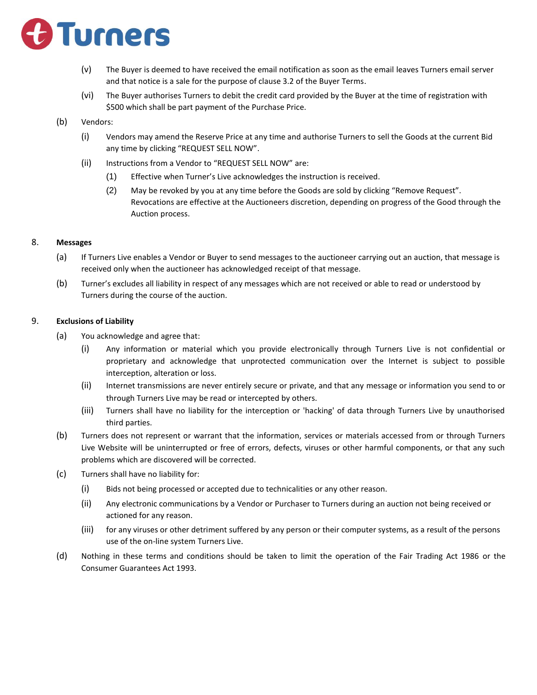

- (v) The Buyer is deemed to have received the email notification as soon as the email leaves Turners email server and that notice is a sale for the purpose of clause 3.2 of the Buyer Terms.
- (vi) The Buyer authorises Turners to debit the credit card provided by the Buyer at the time of registration with \$500 which shall be part payment of the Purchase Price.
- (b) Vendors:
	- (i) Vendors may amend the Reserve Price at any time and authorise Turners to sell the Goods at the current Bid any time by clicking "REQUEST SELL NOW".
	- (ii) Instructions from a Vendor to "REQUEST SELL NOW" are:
		- (1) Effective when Turner's Live acknowledges the instruction is received.
		- (2) May be revoked by you at any time before the Goods are sold by clicking "Remove Request". Revocations are effective at the Auctioneers discretion, depending on progress of the Good through the Auction process.

### 8. **Messages**

- (a) If Turners Live enables a Vendor or Buyer to send messages to the auctioneer carrying out an auction, that message is received only when the auctioneer has acknowledged receipt of that message.
- (b) Turner's excludes all liability in respect of any messages which are not received or able to read or understood by Turners during the course of the auction.

#### 9. **Exclusions of Liability**

- (a) You acknowledge and agree that:
	- (i) Any information or material which you provide electronically through Turners Live is not confidential or proprietary and acknowledge that unprotected communication over the Internet is subject to possible interception, alteration or loss.
	- (ii) Internet transmissions are never entirely secure or private, and that any message or information you send to or through Turners Live may be read or intercepted by others.
	- (iii) Turners shall have no liability for the interception or 'hacking' of data through Turners Live by unauthorised third parties.
- (b) Turners does not represent or warrant that the information, services or materials accessed from or through Turners Live Website will be uninterrupted or free of errors, defects, viruses or other harmful components, or that any such problems which are discovered will be corrected.
- (c) Turners shall have no liability for:
	- (i) Bids not being processed or accepted due to technicalities or any other reason.
	- (ii) Any electronic communications by a Vendor or Purchaser to Turners during an auction not being received or actioned for any reason.
	- (iii) for any viruses or other detriment suffered by any person or their computer systems, as a result of the persons use of the on-line system Turners Live.
- (d) Nothing in these terms and conditions should be taken to limit the operation of the Fair Trading Act 1986 or the Consumer Guarantees Act 1993.